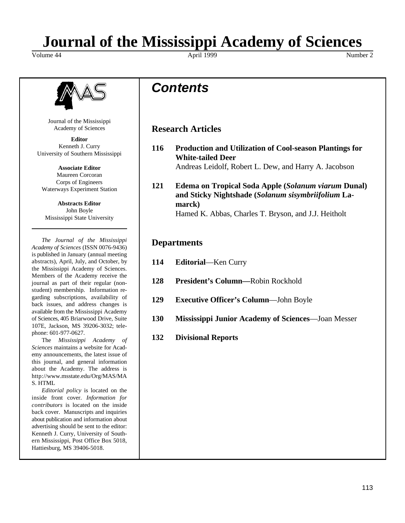# **Journal of the Mississippi Academy of Sciences**

Volume 44 Number 2 April 1999 April 1999 Number 2



Journal of the Mississippi Academy of Sciences

**Editor** Kenneth J. Curry University of Southern Mississippi

**Associate Editor** Maureen Corcoran Corps of Engineers Waterways Experiment Station

**Abstracts Editor** John Boyle Mississippi State University

*The Journal of the Mississippi Academy of Sciences* (ISSN 0076-9436) is published in January (annual meeting abstracts), April, July, and October, by the Mississippi Academy of Sciences. Members of the Academy receive the journal as part of their regular (nonstudent) membership. Information regarding subscriptions, availability of back issues, and address changes is available from the Mississippi Academy of Sciences, 405 Briarwood Drive, Suite 107E, Jackson, MS 39206-3032; telephone: 601-977-0627.

The *Mississippi Academy of Sciences* maintains a website for Academy announcements, the latest issue of this journal, and general information about the Academy. The address is http://www.msstate.edu/Org/MAS/MA S. HTML

*Editorial policy* is located on the inside front cover. *Information for contributors* is located on the inside back cover. Manuscripts and inquiries about publication and information about advertising should be sent to the editor: Kenneth J. Curry, University of Southern Mississippi, Post Office Box 5018, Hattiesburg, MS 39406-5018.

# *Contents*

# **Research Articles**

- **116 Production and Utilization of Cool-season Plantings for White-tailed Deer** Andreas Leidolf, Robert L. Dew, and Harry A. Jacobson
- **121 Edema on Tropical Soda Apple (***Solanum viarum* **Dunal) and Sticky Nightshade (***Solanum sisymbriifolium* **Lamarck)** Hamed K. Abbas, Charles T. Bryson, and J.J. Heitholt

# **Departments**

- **114 Editorial**—Ken Curry
- **128 President's Column—**Robin Rockhold
- **129 Executive Officer's Column**—John Boyle
- **130 Mississippi Junior Academy of Sciences**—Joan Messer
- **132 Divisional Reports**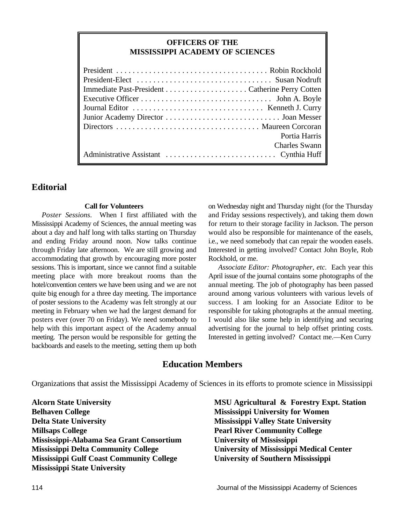## **OFFICERS OF THE MISSISSIPPI ACADEMY OF SCIENCES**

| Portia Harris        |
|----------------------|
| <b>Charles Swann</b> |
|                      |

# **Editorial**

### **Call for Volunteers**

Mississippi Academy of Sciences, the annual meeting was for return to their storage facility in Jackson. The person about a day and half long with talks starting on Thursday would also be responsible for maintenance of the easels, and ending Friday around noon. Now talks continue i.e., we need somebody that can repair the wooden easels. through Friday late afternoon. We are still growing and Interested in getting involved? Contact John Boyle, Rob accommodating that growth by encouraging more poster Rockhold, or me. sessions. This is important, since we cannot find a suitable *Associate Editor: Photographer, etc.* Each year this meeting place with more breakout rooms than the April issue of the journal contains some photographs of the hotel/convention centers we have been using and we are not annual meeting. The job of photography has been passed quite big enough for a three day meeting. The importance around among various volunteers with various levels of of poster sessions to the Academy was felt strongly at our success. I am looking for an Associate Editor to be meeting in February when we had the largest demand for responsible for taking photographs at the annual meeting. posters ever (over 70 on Friday). We need somebody to I would also like some help in identifying and securing help with this important aspect of the Academy annual advertising for the journal to help offset printing costs. meeting. The person would be responsible for getting the Interested in getting involved? Contact me.—Ken Curry backboards and easels to the meeting, setting them up both

*Poster Sessions*. When I first affiliated with the and Friday sessions respectively), and taking them down on Wednesday night and Thursday night (for the Thursday

# **Education Members**

Organizations that assist the Mississippi Academy of Sciences in its efforts to promote science in Mississippi

**Belhaven College Mississippi University for Women Delta State University Mississippi Valley State University Millsaps College Pearl River Community College Mississippi-Alabama Sea Grant Consortium University of Mississippi Mississippi Delta Community College University of Mississippi Medical Center Mississippi Gulf Coast Community College University of Southern Mississippi Mississippi State University**

**Alcorn State University MSU Agricultural & Forestry Expt. Station**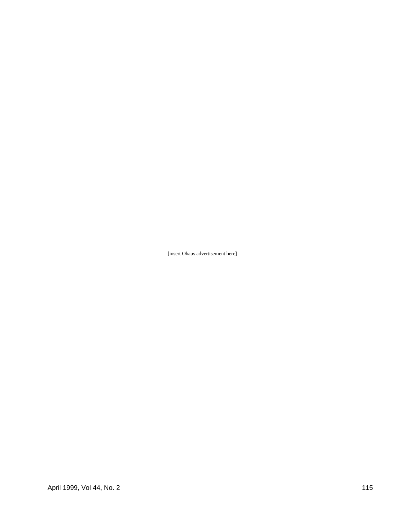[insert Ohaus advertisement here]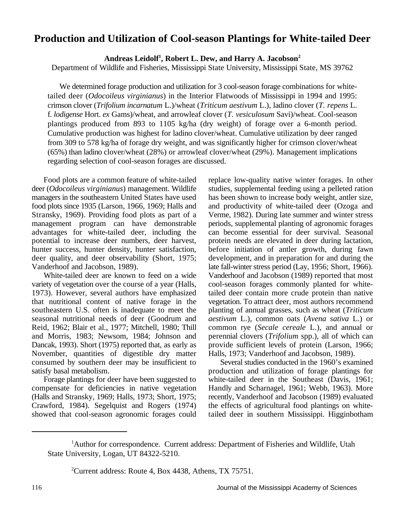# **Production and Utilization of Cool-season Plantings for White-tailed Deer**

Andreas Leidolf<sup>1</sup>, Robert L. Dew, and Harry A. Jacobson<sup>2</sup>

Department of Wildlife and Fisheries, Mississippi State University, Mississippi State, MS 39762

We determined forage production and utilization for 3 cool-season forage combinations for whitetailed deer (*Odocoileus virginianus*) in the Interior Flatwoods of Mississippi in 1994 and 1995: crimson clover (*Trifolium incarnatum* L.)/wheat (*Triticum aestivum* L.), ladino clover (*T. repens* L. f. *lodigense* Hort. *ex* Gams)/wheat, and arrowleaf clover (*T. vesiculosum* Savi)/wheat. Cool-season plantings produced from 893 to 1105 kg/ha (dry weight) of forage over a 6-month period. Cumulative production was highest for ladino clover/wheat. Cumulative utilization by deer ranged from 309 to 578 kg/ha of forage dry weight, and was significantly higher for crimson clover/wheat (65%) than ladino clover/wheat (28%) or arrowleaf clover/wheat (29%). Management implications regarding selection of cool-season forages are discussed.

deer (*Odocoileus virginianus*) management. Wildlife studies, supplemental feeding using a pelleted ration managers in the southeastern United States have used has been shown to increase body weight, antler size, food plots since 1935 (Larson, 1966, 1969; Halls and and productivity of white-tailed deer (Ozoga and Stransky, 1969). Providing food plots as part of a Verme, 1982). During late summer and winter stress management program can have demonstrable periods, supplemental planting of agronomic forages advantages for white-tailed deer, including the can become essential for deer survival. Seasonal potential to increase deer numbers, deer harvest, protein needs are elevated in deer during lactation, potential to increase deer numbers, deer harvest, hunter success, hunter density, hunter satisfaction, before initiation of antler growth, during fawn deer quality, and deer observability (Short, 1975; development, and in preparation for and during the

variety of vegetation over the course of a year (Halls, cool-season forages commonly planted for white-1973). However, several authors have emphasized tailed deer contain more crude protein than native that nutritional content of native forage in the vegetation. To attract deer, most authors recommend southeastern U.S. often is inadequate to meet the planting of annual grasses, such as wheat (*Triticum* seasonal nutritional needs of deer (Goodrum and *aestivum* L.), common oats (*Avena sativa* L.) or and Morris, 1983; Newsom, 1984; Johnson and perennial clovers (*Trifolium* spp.), all of which can Dancak, 1993). Short (1975) reported that, as early as provide sufficient levels of protein (Larson, 1966; November, quantities of digestible dry matter Halls, 1973; Vanderhoof and Jacobson, 1989). consumed by southern deer may be insufficient to Several studies conducted in the 1960's examined<br>satisfy basal metabolism.

compensate for deficiencies in native vegetation Handly and Scharnagel, 1961; Webb, 1963). More (Halls and Stransky, 1969; Halls, 1973; Short, 1975; recently, Vanderhoof and Jacobson (1989) evaluated Crawford, 1984). Segelquist and Rogers (1974) the effects of agricultural food plantings on whiteshowed that cool-season agronomic forages could tailed deer in southern Mississippi. Higginbotham

Food plots are a common feature of white-tailed replace low-quality native winter forages. In other Vanderhoof and Jacobson, 1989). late fall-winter stress period (Lay, 1956; Short, 1966). Vanderhoof and Jacobson (1989) reported that most vegetation. To attract deer, most authors recommend common rye (*Secale cereale L.*), and annual or

production and utilization of forage plantings for Forage plantings for deer have been suggested to white-tailed deer in the Southeast (Davis, 1961;

<sup>&</sup>lt;sup>1</sup>Author for correspondence. Current address: Department of Fisheries and Wildlife, Utah State University, Logan, UT 84322-5210.

<sup>&</sup>lt;sup>2</sup>Current address: Route 4, Box 4438, Athens, TX 75751.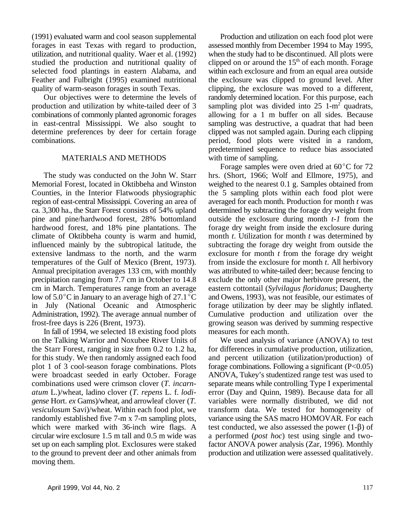(1991) evaluated warm and cool season supplemental Production and utilization on each food plot were forages in east Texas with regard to production, assessed monthly from December 1994 to May 1995, utilization, and nutritional quality. Waer et al. (1992) when the study had to be discontinued. All plots were studied the production and nutritional quality of clipped on or around the  $15<sup>th</sup>$  of each month. Forage selected food plantings in eastern Alabama, and within each exclosure and from an equal area outside Feather and Fulbright (1995) examined nutritional the exclosure was clipped to ground level. After quality of warm-season forages in south Texas. clipping, the exclosure was moved to a different,

production and utilization by white-tailed deer of 3 sampling plot was divided into  $25 \text{ } 1 \text{-m}^2$  quadrats, combinations of commonly planted agronomic forages allowing for a 1 m buffer on all sides. Because in east-central Mississippi. We also sought to sampling was destructive, a quadrat that had been determine preferences by deer for certain forage clipped was not sampled again. During each clipping combinations. period, food plots were visited in a random,

### MATERIALS AND METHODS with time of sampling.

Memorial Forest, located in Oktibbeha and Winston weighed to the nearest 0.1 g. Samples obtained from Counties, in the Interior Flatwoods physiographic the 5 sampling plots within each food plot were region of east-central Mississippi. Covering an area of averaged for each month. Production for month *t* was ca. 3,300 ha., the Starr Forest consists of 54% upland determined by subtracting the forage dry weight from pine and pine/hardwood forest, 28% bottomland outside the exclosure during month *t-1* from the hardwood forest, and 18% pine plantations. The forage dry weight from inside the exclosure during climate of Oktibbeha county is warm and humid, month *t*. Utilization for month *t* was determined by influenced mainly by the subtropical latitude, the subtracting the forage dry weight from outside the extensive landmass to the north, and the warm exclosure for month *t* from the forage dry weight temperatures of the Gulf of Mexico (Brent, 1973). from inside the exclosure for month *t*. All herbivory Annual precipitation averages 133 cm, with monthly was attributed to white-tailed deer; because fencing to precipitation ranging from 7.7 cm in October to 14.8 exclude the only other major herbivore present, the cm in March. Temperatures range from an average eastern cottontail (*Sylvilagus floridanus*; Daugherty low of  $5.0^{\circ}$ C in January to an average high of  $27.1^{\circ}$ C and Owens, 1993), was not feasible, our estimates of in July (National Oceanic and Atmospheric forage utilization by deer may be slightly inflated. Administration, 1992). The average annual number of Cumulative production and utilization over the frost-free days is 226 (Brent, 1973). growing season was derived by summing respective

In fall of 1994, we selected 18 existing food plots measures for each month. on the Talking Warrior and Noxubee River Units of We used analysis of variance (ANOVA) to test the Starr Forest, ranging in size from 0.2 to 1.2 ha, for differences in cumulative production, utilization, for this study. We then randomly assigned each food and percent utilization (utilization/production) of plot 1 of 3 cool-season forage combinations. Plots forage combinations. Following a significant  $(P<0.05)$ were broadcast seeded in early October. Forage ANOVA, Tukey's studentized range test was used to combinations used were crimson clover (*T. incarn-* separate means while controlling Type I experimental *atum* L.)/wheat, ladino clover (*T. repens* L. f. *lodi-* error (Day and Quinn, 1989). Because data for all *gense* Hort. *ex* Gams)/wheat, and arrowleaf clover (*T.* variables were normally distributed, we did not *vesiculosum* Savi)/wheat. Within each food plot, we transform data. We tested for homogeneity of randomly established five 7-m x 7-m sampling plots, variance using the SAS macro HOMOVAR. For each which were marked with 36-inch wire flags. A test conducted, we also assessed the power  $(1-\beta)$  of circular wire exclosure 1.5 m tall and 0.5 m wide was a performed (*post hoc*) test using single and twoset up on each sampling plot. Exclosures were staked factor ANOVA power analysis (Zar, 1996). Monthly to the ground to prevent deer and other animals from production and utilization were assessed qualitatively. moving them.

Our objectives were to determine the levels of randomly determined location. For this purpose, each predetermined sequence to reduce bias associated

The study was conducted on the John W. Starr hrs. (Short, 1966; Wolf and Ellmore, 1975), and Forage samples were oven dried at  $60^{\circ}$ C for 72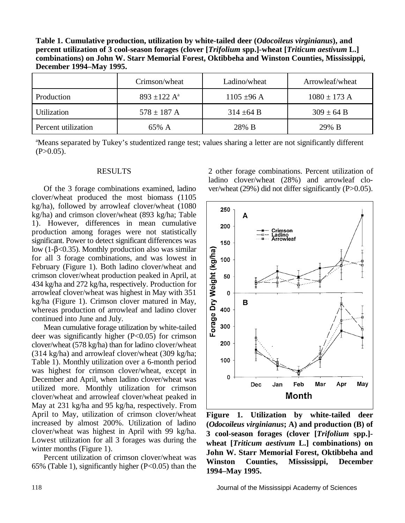**Table 1. Cumulative production, utilization by white-tailed deer (***Odocoileus virginianus***), and percent utilization of 3 cool-season forages (clover [***Trifolium* **spp.]-wheat [***Triticum aestivum* **L.] combinations) on John W. Starr Memorial Forest, Oktibbeha and Winston Counties, Mississippi, December 1994–May 1995.**

|                     | Crimson/wheat                | Ladino/wheat    | Arrowleaf/wheat  |
|---------------------|------------------------------|-----------------|------------------|
| Production          | $893 \pm 122$ A <sup>a</sup> | $1105 \pm 96$ A | $1080 \pm 173$ A |
| <b>Utilization</b>  | $578 \pm 187$ A              | $314 \pm 64 B$  | $309 \pm 64 B$   |
| Percent utilization | 65% A                        | 28% B           | 29% B            |

<sup>a</sup>Means separated by Tukey's studentized range test; values sharing a letter are not significantly different  $(P>0.05)$ .

clover/wheat produced the most biomass (1105 kg/ha), followed by arrowleaf clover/wheat (1080 kg/ha) and crimson clover/wheat (893 kg/ha; Table 1). However, differences in mean cumulative production among forages were not statistically significant. Power to detect significant differences was low  $(1-\beta<0.35)$ . Monthly production also was similar for all 3 forage combinations, and was lowest in February (Figure 1). Both ladino clover/wheat and crimson clover/wheat production peaked in April, at 434 kg/ha and 272 kg/ha, respectively. Production for arrowleaf clover/wheat was highest in May with 351 kg/ha (Figure 1). Crimson clover matured in May, whereas production of arrowleaf and ladino clover continued into June and July.

Mean cumulative forage utilization by white-tailed deer was significantly higher  $(P<0.05)$  for crimson clover/wheat (578 kg/ha) than for ladino clover/wheat (314 kg/ha) and arrowleaf clover/wheat (309 kg/ha; Table 1). Monthly utilization over a 6-month period was highest for crimson clover/wheat, except in December and April, when ladino clover/wheat was utilized more. Monthly utilization for crimson clover/wheat and arrowleaf clover/wheat peaked in May at 231 kg/ha and 95 kg/ha, respectively. From April to May, utilization of crimson clover/wheat increased by almost 200%. Utilization of ladino clover/wheat was highest in April with 99 kg/ha. Lowest utilization for all 3 forages was during the winter months (Figure 1).

Percent utilization of crimson clover/wheat was 65% (Table 1), significantly higher (P<0.05) than the

RESULTS 2 other forage combinations. Percent utilization of Of the 3 forage combinations examined, ladino ver/wheat (29%) did not differ significantly (P>0.05). ladino clover/wheat (28%) and arrowleaf clo-



**Figure 1. Utilization by white-tailed deer (***Odocoileus virginianus***; A) and production (B) of 3 cool-season forages (clover [***Trifolium* **spp.] wheat [***Triticum aestivum* **L.] combinations) on John W. Starr Memorial Forest, Oktibbeha and Winston Counties, Mississippi, December 1994–May 1995.**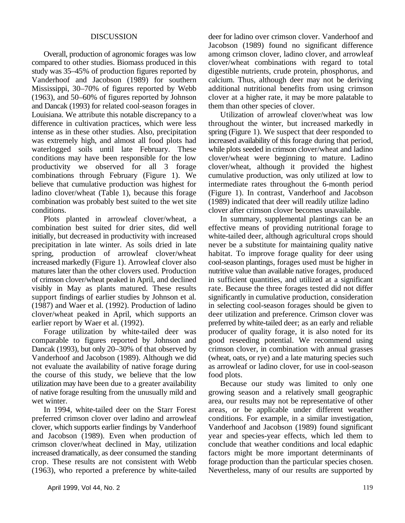compared to other studies. Biomass produced in this clover/wheat combinations with regard to total study was 35–45% of production figures reported by digestible nutrients, crude protein, phosphorus, and Vanderhoof and Jacobson (1989) for southern calcium. Thus, although deer may not be deriving<br>Mississippi, 30–70% of figures reported by Webb additional nutritional benefits from using crimson Mississippi, 30–70% of figures reported by Webb (1963), and 50–60% of figures reported by Johnson clover at a higher rate, it may be more palatable to and Dancak (1993) for related cool-season forages in them than other species of clover. Louisiana. We attribute this notable discrepancy to a Utilization of arrowleaf clover/wheat was low difference in cultivation practices, which were less throughout the winter, but increased markedly in intense as in these other studies. Also, precipitation spring (Figure 1). We suspect that deer responded to was extremely high, and almost all food plots had increased availability of this forage during that period, waterlogged soils until late February. These while plots seeded in crimson clover/wheat and ladino conditions may have been responsible for the low clover/wheat were beginning to mature. Ladino productivity we observed for all 3 forage clover/wheat, although it provided the highest combinations through February (Figure 1). We cumulative production, was only utilized at low to believe that cumulative production was highest for intermediate rates throughout the 6-month period ladino clover/wheat (Table 1), because this forage (Figure 1). In contrast, Vanderhoof and Jacobson combination was probably best suited to the wet site (1989) indicated that deer will readily utilize ladino conditions. clover after crimson clover becomes unavailable.

combination best suited for drier sites, did well effective means of providing nutritional forage to initially, but decreased in productivity with increased white-tailed deer, although agricultural crops should precipitation in late winter. As soils dried in late never be a substitute for maintaining quality native spring, production of arrowleaf clover/wheat habitat. To improve forage quality for deer using increased markedly (Figure 1). Arrowleaf clover also cool-season plantings, forages used must be higher in matures later than the other clovers used. Production nutritive value than available native forages, produced of crimson clover/wheat peaked in April, and declined in sufficient quantities, and utilized at a significant visibly in May as plants matured. These results rate. Because the three forages tested did not differ support findings of earlier studies by Johnson et al. significantly in cumulative production, consideration (1987) and Waer et al. (1992). Production of ladino in selecting cool-season forages should be given to clover/wheat peaked in April, which supports an deer utilization and preference. Crimson clover was earlier report by Waer et al. (1992). preferred by white-tailed deer; as an early and reliable

comparable to figures reported by Johnson and good reseeding potential. We recommend using Dancak (1993), but only 20–30% of that observed by crimson clover, in combination with annual grasses Vanderhoof and Jacobson (1989). Although we did (wheat, oats, or rye) and a late maturing species such not evaluate the availability of native forage during as arrowleaf or ladino clover, for use in cool-season the course of this study, we believe that the low food plots. utilization may have been due to a greater availability Because our study was limited to only one of native forage resulting from the unusually mild and growing season and a relatively small geographic wet winter. area, our results may not be representative of other

preferred crimson clover over ladino and arrowleaf conditions. For example, in a similar investigation, clover, which supports earlier findings by Vanderhoof Vanderhoof and Jacobson (1989) found significant and Jacobson (1989). Even when production of year and species-year effects, which led them to and Jacobson (1989). Even when production of crimson clover/wheat declined in May, utilization conclude that weather conditions and local edaphic increased dramatically, as deer consumed the standing factors might be more important determinants of crop. These results are not consistent with Webb forage production than the particular species chosen. (1963), who reported a preference by white-tailed Nevertheless, many of our results are supported by

DISCUSSION deer for ladino over crimson clover. Vanderhoof and Overall, production of agronomic forages was low among crimson clover, ladino clover, and arrowleaf Jacobson (1989) found no significant difference

Plots planted in arrowleaf clover/wheat, a In summary, supplemental plantings can be an white-tailed deer, although agricultural crops should Forage utilization by white-tailed deer was producer of quality forage, it is also noted for its

In 1994, white-tailed deer on the Starr Forest areas, or be applicable under different weather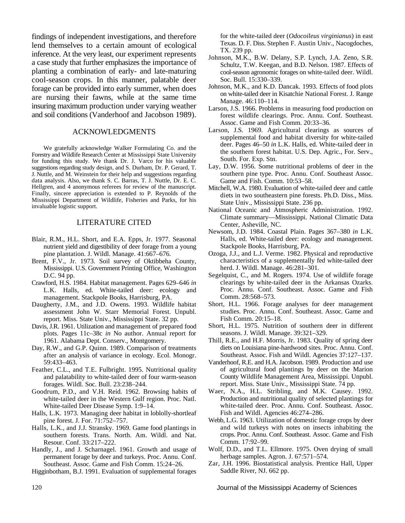findings of independent investigations, and therefore lend themselves to a certain amount of ecological inference. At the very least, our experiment represents a case study that further emphasizes the importance of planting a combination of early- and late-maturing cool-season crops. In this manner, palatable deer forage can be provided into early summer, when does are nursing their fawns, while at the same time insuring maximum production under varying weather and soil conditions (Vanderhoof and Jacobson 1989).

#### ACKNOWLEDGMENTS

We gratefully acknowledge Walker Formulating Co. and the Forestry and Wildlife Research Center at Mississippi State University for funding this study. We thank Dr. J. Varco for his valuable suggestions regarding study design, and S. Durham, Dr. P. Gerard, T. J. Nuttle, and M. Weinstein for their help and suggestions regarding data analysis. Also, we thank S. C. Barras, T. J. Nuttle, Dr. E. C. Hellgren, and 4 anonymous referees for review of the manuscript. Finally, sincere appreciation is extended to P. Reynolds of the Mississippi Department of Wildlife, Fisheries and Parks, for his invaluable logistic support.

#### LITERATURE CITED

- Blair, R.M., H.L. Short, and E.A. Epps, Jr. 1977. Seasonal nutrient yield and digestibility of deer forage from a young pine plantation. J. Wildl. Manage. 41:667–676.
- Brent, F.V., Jr. 1973. Soil survey of Oktibbeha County, Mississippi. U.S. Government Printing Office, Washington D.C. 94 pp.
- Crawford, H.S. 1984. Habitat management. Pages 629–646 *in* L.K. Halls, ed. White-tailed deer: ecology and management. Stackpole Books, Harrisburg, PA.
- Daugherty, J.M., and J.D. Owens. 1993. Wildlife habitat assessment John W. Starr Memorial Forest. Unpubl. report. Miss. State Univ., Mississippi State. 32 pp.
- Davis, J.R. 1961. Utilization and management of prepared food plots. Pages 11c–38c *in* No author. Annual report for 1961. Alabama Dept. Conserv., Montgomery.
- Day, R.W., and G.P. Quinn. 1989. Comparison of treatments after an analysis of variance in ecology. Ecol. Monogr. 59:433–463.
- Feather, C.L., and T.E. Fulbright. 1995. Nutritional quality and palatability to white-tailed deer of four warm-season forages. Wildl. Soc. Bull. 23:238–244.
- Goodrum, P.D., and V.H. Reid. 1962. Browsing habits of white-tailed deer in the Western Gulf region. Proc. Natl. White-tailed Deer Disease Symp. 1:9–14.
- Halls, L.K. 1973. Managing deer habitat in loblolly-shortleaf pine forest. J. For. 71:752–757.
- Halls, L.K., and J.J. Stransky. 1969. Game food plantings in southern forests. Trans. North. Am. Wildl. and Nat. Resour. Conf. 33:217–222.
- Handly, J., and J. Scharnagel. 1961. Growth and usage of permanent forage by deer and turkeys. Proc. Annu. Conf. Southeast. Assoc. Game and Fish Comm. 15:24–26.

Higginbotham, B.J. 1991. Evaluation of supplemental forages

for the white-tailed deer (*Odocoileus virginianus*) in east Texas. D. F. Diss. Stephen F. Austin Univ., Nacogdoches, TX. 239 pp.

- Johnson, M.K., B.W. Delany, S.P. Lynch, J.A. Zeno, S.R. Schultz, T.W. Keegan, and B.D. Nelson. 1987. Effects of cool-season agronomic forages on white-tailed deer. Wildl. Soc. Bull. 15:330–339.
- Johnson, M.K., and K.D. Dancak. 1993. Effects of food plots on white-tailed deer in Kisatchie National Forest. J. Range Manage. 46:110–114.
- Larson, J.S. 1966. Problems in measuring food production on forest wildlife clearings. Proc. Annu. Conf. Southeast. Assoc. Game and Fish Comm. 20:33–36.
- Larson, J.S. 1969. Agricultural clearings as sources of supplemental food and habitat diversity for white-tailed deer. Pages 46–50 *in* L.K. Halls, ed. White-tailed deer in the southern forest habitat. U.S. Dep. Agric., For. Serv., South. For. Exp. Stn.
- Lay, D.W. 1956. Some nutritional problems of deer in the southern pine type. Proc. Annu. Conf. Southeast Assoc. Game and Fish. Comm. 10:53–58.
- Mitchell, W.A. 1980. Evaluation of white-tailed deer and cattle diets in two southeastern pine forests. Ph.D. Diss., Miss. State Univ., Mississippi State. 236 pp.
- National Oceanic and Atmospheric Administration. 1992. Climate summary—Mississippi. National Climatic Data Center, Asheville, NC.
- Newsom, J.D. 1984. Coastal Plain. Pages 367–380 *in* L.K. Halls, ed. White-tailed deer: ecology and management. Stackpole Books, Harrisburg, PA.
- Ozoga, J.J., and L.J. Verme. 1982. Physical and reproductive characteristics of a supplementally fed white-tailed deer herd. J. Wildl. Manage. 46:281–301.
- Segelquist, C., and M. Rogers. 1974. Use of wildlife forage clearings by white-tailed deer in the Arkansas Ozarks. Proc. Annu. Conf. Southeast. Assoc. Game and Fish Comm. 28:568–573.
- Short, H.L. 1966. Forage analyses for deer management studies. Proc. Annu. Conf. Southeast. Assoc. Game and Fish Comm. 20:15–18.
- Short, H.L. 1975. Nutrition of southern deer in different seasons. J. Wildl. Manage. 39:321–329.
- Thill, R.E., and H.F. Morris, Jr. 1983. Quality of spring deer diets on Louisiana pine-hardwood sites. Proc. Annu. Conf. Southeast. Assoc. Fish and Wildl. Agencies 37:127–137.
- Vanderhoof, R.E. and H.A. Jacobson. 1989. Production and use of agricultural food plantings by deer on the Marion County Wildlife Management Area, Mississippi. Unpubl. report. Miss. State Univ., Mississippi State. 74 pp.
- Waer, N.A., H.L. Stribling, and M.K. Causey. 1992. Production and nutritional quality of selected plantings for white-tailed deer. Proc. Annu. Conf. Southeast. Assoc. Fish and Wildl. Agencies 46:274–286.
- Webb, L.G. 1963. Utilization of domestic forage crops by deer and wild turkeys with notes on insects inhabiting the crops. Proc. Annu. Conf. Southeast. Assoc. Game and Fish Comm. 17:92–99.
- Wolf, D.D., and T.L. Ellmore. 1975. Oven drying of small herbage samples. Agron. J. 67:571–574.
- Zar, J.H. 1996. Biostatistical analysis. Prentice Hall, Upper Saddle River, NJ. 662 pp.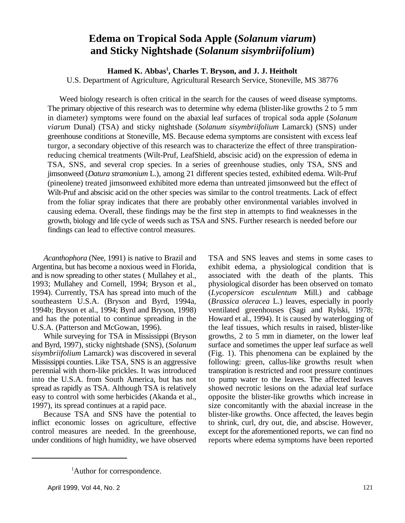# **Edema on Tropical Soda Apple (***Solanum viarum***) and Sticky Nightshade (***Solanum sisymbriifolium***)**

**Hamed K. Abbas , Charles T. Bryson, and J. J. Heitholt <sup>1</sup>** U.S. Department of Agriculture, Agricultural Research Service, Stoneville, MS 38776

Weed biology research is often critical in the search for the causes of weed disease symptoms. The primary objective of this research was to determine why edema (blister-like growths 2 to 5 mm in diameter) symptoms were found on the abaxial leaf surfaces of tropical soda apple (*Solanum viarum* Dunal) (TSA) and sticky nightshade (*Solanum sisymbriifolium* Lamarck) (SNS) under greenhouse conditions at Stoneville, MS. Because edema symptoms are consistent with excess leaf turgor, a secondary objective of this research was to characterize the effect of three transpirationreducing chemical treatments (Wilt-Pruf, LeafShield, abscisic acid) on the expression of edema in TSA, SNS, and several crop species. In a series of greenhouse studies, only TSA, SNS and jimsonweed (*Datura stramonium* L.), among 21 different species tested, exhibited edema. Wilt-Pruf (pineolene) treated jimsonweed exhibited more edema than untreated jimsonweed but the effect of Wilt-Pruf and abscisic acid on the other species was similar to the control treatments. Lack of effect from the foliar spray indicates that there are probably other environmental variables involved in causing edema. Overall, these findings may be the first step in attempts to find weaknesses in the growth, biology and life cycle of weeds such as TSA and SNS. Further research is needed before our findings can lead to effective control measures.

Argentina, but has become a noxious weed in Florida, exhibit edema, a physiological condition that is and is now spreading to other states ( Mullahey et al., associated with the death of the plants. This 1993; Mullahey and Cornell, 1994; Bryson et al., physiological disorder has been observed on tomato 1994). Currently, TSA has spread into much of the (*Lycopersicon esculentum* Mill.) and cabbage southeastern U.S.A. (Bryson and Byrd, 1994a, (*Brassica oleracea* L.) leaves, especially in poorly 1994b; Bryson et al., 1994; Byrd and Bryson, 1998) ventilated greenhouses (Sagi and Rylski, 1978; and has the potential to continue spreading in the Howard et al., 1994). It is caused by waterlogging of U.S.A. (Patterson and McGowan, 1996). the leaf tissues, which results in raised, blister-like

and Byrd, 1997), sticky nightshade (SNS), (*Solanum* surface and sometimes the upper leaf surface as well *sisymbriifolium* Lamarck) was discovered in several (Fig. 1). This phenomena can be explained by the Mississippi counties. Like TSA, SNS is an aggressive following: green, callus-like growths result when perennial with thorn-like prickles. It was introduced transpiration is restricted and root pressure continues into the U.S.A. from South America, but has not to pump water to the leaves. The affected leaves spread as rapidly as TSA. Although TSA is relatively showed necrotic lesions on the adaxial leaf surface easy to control with some herbicides (Akanda et al., opposite the blister-like growths which increase in 1997), its spread continues at a rapid pace. size concomitantly with the abaxial increase in the

inflict economic losses on agriculture, effective to shrink, curl, dry out, die, and abscise. However, control measures are needed. In the greenhouse, except for the aforementioned reports, we can find no under conditions of high humidity, we have observed reports where edema symptoms have been reported

*Acanthophora* (Nee, 1991) is native to Brazil and TSA and SNS leaves and stems in some cases to While surveying for TSA in Mississippi (Bryson growths, 2 to 5 mm in diameter, on the lower leaf Because TSA and SNS have the potential to blister-like growths. Once affected, the leaves begin

<sup>&</sup>lt;sup>1</sup>Author for correspondence.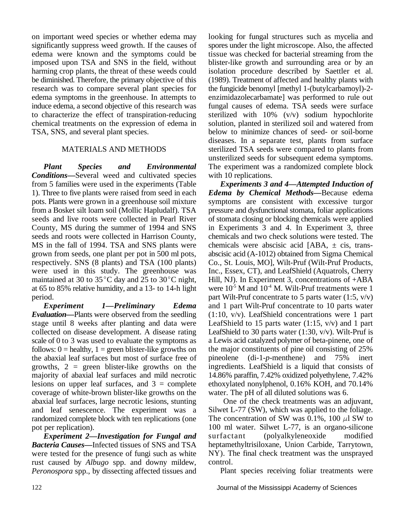on important weed species or whether edema may looking for fungal structures such as mycelia and significantly suppress weed growth. If the causes of spores under the light microscope. Also, the affected edema were known and the symptoms could be tissue was checked for bacterial streaming from the imposed upon TSA and SNS in the field, without blister-like growth and surrounding area or by an harming crop plants, the threat of these weeds could isolation procedure described by Saettler et al. be diminished. Therefore, the primary objective of this (1989). Treatment of affected and healthy plants with research was to compare several plant species for the fungicide benomyl [methyl 1-(butylcarbamoyl)-2 edema symptoms in the greenhouse. In attempts to enzimidazolecarbamate] was performed to rule out induce edema, a second objective of this research was fungal causes of edema. TSA seeds were surface to characterize the effect of transpiration-reducing sterilized with  $10\%$  (v/v) sodium hypochlorite chemical treatments on the expression of edema in solution, planted in sterilized soil and watered from TSA, SNS, and several plant species. below to minimize chances of seed- or soil-borne

*Plant Species and Environmental Conditions***—**Several weed and cultivated species from 5 families were used in the experiments (Table *Experiments 3 and 4—Attempted Induction of* 1). Three to five plants were raised from seed in each *Edema by Chemical Methods—*Because edema pots. Plants were grown in a greenhouse soil mixture symptoms are consistent with excessive turgor from a Bosket silt loam soil (Mollic Hapludalf). TSA pressure and dysfunctional stomata, foliar applications seeds and live roots were collected in Pearl River of stomata closing or blocking chemicals were applied County, MS during the summer of 1994 and SNS in Experiments 3 and 4. In Experiment 3, three seeds and roots were collected in Harrison County, chemicals and two check solutions were tested. The MS in the fall of 1994. TSA and SNS plants were chemicals were abscisic acid [ABA,  $\pm$  cis, transgrown from seeds, one plant per pot in 500 ml pots, abscisic acid (A-1012) obtained from Sigma Chemical respectively. SNS (8 plants) and TSA (100 plants) Co., St. Louis, MO], Wilt-Pruf (Wilt-Pruf Products, were used in this study. The greenhouse was Inc., Essex, CT), and LeafShield (Aquatrols, Cherry maintained at 30 to 35 $^{\circ}$ C day and 25 to 30 $^{\circ}$ C night, Hill, NJ). In Experiment 3, concentrations of +ABA at 65 to 85% relative humidity, and a 13- to 14-h light were  $10^5$  M and  $10^4$  M. Wilt-Pruf treatments were 1 period. part Wilt-Pruf concentrate to 5 parts water (1:5, v/v)

*Experiment 1—Preliminary Edema Evaluation—*Plants were observed from the seedling stage until 8 weeks after planting and data were collected on disease development. A disease rating scale of 0 to 3 was used to evaluate the symptoms as follows:  $0 =$  healthy,  $1 =$  green blister-like growths on the abaxial leaf surfaces but most of surface free of growths,  $2 =$  green blister-like growths on the majority of abaxial leaf surfaces and mild necrotic lesions on upper leaf surfaces, and  $3 =$  complete coverage of white-brown blister-like growths on the abaxial leaf surfaces, large necrotic lesions, stunting and leaf senescence. The experiment was a randomized complete block with ten replications (one pot per replication).

*Experiment 2—Investigation for Fungal and Bacteria Causes—*Infected tissues of SNS and TSA were tested for the presence of fungi such as white rust caused by *Albugo* spp. and downy mildew, *Peronospora* spp., by dissecting affected tissues and

MATERIALS AND METHODS sterilized TSA seeds were compared to plants from diseases. In a separate test, plants from surface unsterilized seeds for subsequent edema symptoms. The experiment was a randomized complete block with 10 replications.

> and 1 part Wilt-Pruf concentrate to 10 parts water (1:10, v/v). LeafShield concentrations were 1 part LeafShield to 15 parts water  $(1:15, v/v)$  and 1 part LeafShield to 30 parts water  $(1:30, v/v)$ . Wilt-Pruf is a Lewis acid catalyzed polymer of beta-pinene, one of the major constituents of pine oil consisting of 25% pineolene (di-1-*p*-menthene) and 75% inert ingredients. LeafShield is a liquid that consists of 14.86% paraffin, 7.42% oxidized polyethylene, 7.42% ethoxylated nonylphenol, 0.16% KOH, and 70.14% water. The pH of all diluted solutions was 6.

> One of the check treatments was an adjuvant, Silwet L-77 (SW), which was applied to the foliage. The concentration of SW was 0.1%, 100  $\mu$ l SW to 100 ml water. Silwet L-77, is an organo-silicone surfactant (polyalkyleneoxide modified heptamethyltrisiloxane, Union Carbide, Tarrytown, NY). The final check treatment was the unsprayed control.

Plant species receiving foliar treatments were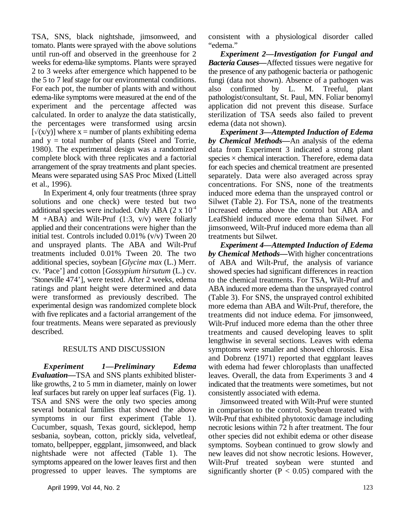TSA, SNS, black nightshade, jimsonweed, and consistent with a physiological disorder called tomato. Plants were sprayed with the above solutions "edema." until run-off and observed in the greenhouse for 2 weeks for edema-like symptoms. Plants were sprayed 2 to 3 weeks after emergence which happened to be the 5 to 7 leaf stage for our environmental conditions. For each pot, the number of plants with and without edema-like symptoms were measured at the end of the experiment and the percentage affected was calculated. In order to analyze the data statistically, the percentages were transformed using arcsin  $[\sqrt{(x/y)}]$  where x = number of plants exhibiting edema and  $y =$  total number of plants (Steel and Torrie, 1980). The experimental design was a randomized complete block with three replicates and a factorial arrangement of the spray treatments and plant species. Means were separated using SAS Proc Mixed (Littell et al., 1996).

In Experiment 4, only four treatments (three spray solutions and one check) were tested but two additional species were included. Only ABA  $(2 \times 10^{-4}$  $M$  +ABA) and Wilt-Pruf (1:3, v/v) were foliarly applied and their concentrations were higher than the initial test. Controls included 0.01% (v/v) Tween 20 and unsprayed plants. The ABA and Wilt-Pruf treatments included 0.01% Tween 20. The two additional species, soybean [*Glycine max* (L.) Merr. cv. 'Pace'] and cotton [*Gossypium hirsutum* (L.) cv. 'Stoneville 474'], were tested. After 2 weeks, edema ratings and plant height were determined and data were transformed as previously described. The experimental design was randomized complete block with five replicates and a factorial arrangement of the four treatments. Means were separated as previously described.

### RESULTS AND DISCUSSION

*Experiment 1—Preliminary Edema Evaluation—*TSA and SNS plants exhibited blisterlike growths, 2 to 5 mm in diameter, mainly on lower leaf surfaces but rarely on upper leaf surfaces (Fig. 1). TSA and SNS were the only two species among several botanical families that showed the above symptoms in our first experiment (Table 1). Cucumber, squash, Texas gourd, sicklepod, hemp sesbania, soybean, cotton, prickly sida, velvetleaf, tomato, bellpepper, eggplant, jimsonweed, and black nightshade were not affected (Table 1). The symptoms appeared on the lower leaves first and then progressed to upper leaves. The symptoms are

*Experiment 2—Investigation for Fungal and Bacteria Causes—*Affected tissues were negative for the presence of any pathogenic bacteria or pathogenic fungi (data not shown). Absence of a pathogen was also confirmed by L. M. Treeful, plant pathologist/consultant, St. Paul, MN. Foliar benomyl application did not prevent this disease. Surface sterilization of TSA seeds also failed to prevent edema (data not shown).

*Experiment 3—Attempted Induction of Edema by Chemical Methods—*An analysis of the edema data from Experiment 3 indicated a strong plant species  $\times$  chemical interaction. Therefore, edema data for each species and chemical treatment are presented separately. Data were also averaged across spray concentrations. For SNS, none of the treatments induced more edema than the unsprayed control or Silwet (Table 2). For TSA, none of the treatments increased edema above the control but ABA and LeafShield induced more edema than Silwet. For jimsonweed, Wilt-Pruf induced more edema than all treatments but Silwet.

*Experiment 4—Attempted Induction of Edema by Chemical Methods—*With higher concentrations of ABA and Wilt-Pruf, the analysis of variance showed species had significant differences in reaction to the chemical treatments. For TSA, Wilt-Pruf and ABA induced more edema than the unsprayed control (Table 3). For SNS, the unsprayed control exhibited more edema than ABA and Wilt-Pruf, therefore, the treatments did not induce edema. For jimsonweed, Wilt-Pruf induced more edema than the other three treatments and caused developing leaves to split lengthwise in several sections. Leaves with edema symptoms were smaller and showed chlorosis. Eisa and Dobrenz (1971) reported that eggplant leaves with edema had fewer chloroplasts than unaffected leaves. Overall, the data from Experiments 3 and 4 indicated that the treatments were sometimes, but not consistently associated with edema.

Jimsonweed treated with Wilt-Pruf were stunted in comparison to the control. Soybean treated with Wilt-Pruf that exhibited phytotoxic damage including necrotic lesions within 72 h after treatment. The four other species did not exhibit edema or other disease symptoms. Soybean continued to grow slowly and new leaves did not show necrotic lesions. However, Wilt-Pruf treated soybean were stunted and significantly shorter ( $P < 0.05$ ) compared with the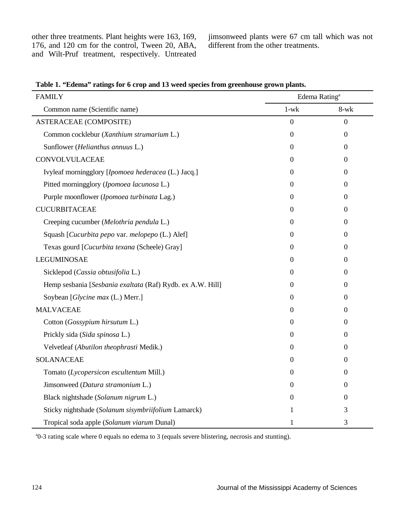other three treatments. Plant heights were 163, 169, jimsonweed plants were 67 cm tall which was not 176, and 120 cm for the control, Tween 20, ABA, different from the other treatments. 176, and 120 cm for the control, Tween 20, ABA, and Wilt-Pruf treatment, respectively. Untreated

| <b>FAMILY</b>                                              | Edema Rating <sup>a</sup> |                  |  |
|------------------------------------------------------------|---------------------------|------------------|--|
| Common name (Scientific name)                              | $1-wk$                    | $8-wk$           |  |
| <b>ASTERACEAE (COMPOSITE)</b>                              | $\overline{0}$            | $\overline{0}$   |  |
| Common cocklebur (Xanthium strumarium L.)                  | $\theta$                  | $\mathbf{0}$     |  |
| Sunflower (Helianthus annuus L.)                           | $\theta$                  | $\Omega$         |  |
| CONVOLVULACEAE                                             | 0                         | $\Omega$         |  |
| Ivyleaf morningglory [Ipomoea hederacea (L.) Jacq.]        | 0                         | $\Omega$         |  |
| Pitted morningglory (Ipomoea lacunosa L.)                  | $\theta$                  | $\Omega$         |  |
| Purple moonflower (Ipomoea turbinata Lag.)                 | $\theta$                  | $\Omega$         |  |
| <b>CUCURBITACEAE</b>                                       | $\theta$                  | $\Omega$         |  |
| Creeping cucumber (Melothria pendula L.)                   | 0                         | $\Omega$         |  |
| Squash [Cucurbita pepo var. melopepo (L.) Alef]            | 0                         | $\theta$         |  |
| Texas gourd [Cucurbita texana (Scheele) Gray]              | 0                         | $\Omega$         |  |
| <b>LEGUMINOSAE</b>                                         | $\Omega$                  | $\boldsymbol{0}$ |  |
| Sicklepod (Cassia obtusifolia L.)                          | $\theta$                  | $\Omega$         |  |
| Hemp sesbania [Sesbania exaltata (Raf) Rydb. ex A.W. Hill] | 0                         | 0                |  |
| Soybean [Glycine max (L.) Merr.]                           | 0                         | $\overline{0}$   |  |
| <b>MALVACEAE</b>                                           | 0                         | 0                |  |
| Cotton (Gossypium hirsutum L.)                             | 0                         | $\boldsymbol{0}$ |  |
| Prickly sida (Sida spinosa L.)                             | 0                         | $\theta$         |  |
| Velvetleaf (Abutilon theophrasti Medik.)                   | 0                         | $\Omega$         |  |
| <b>SOLANACEAE</b>                                          | 0                         | $\boldsymbol{0}$ |  |
| Tomato (Lycopersicon escultentum Mill.)                    | 0                         | $\boldsymbol{0}$ |  |
| Jimsonweed (Datura stramonium L.)                          | 0                         | $\boldsymbol{0}$ |  |
| Black nightshade (Solanum nigrum L.)                       | 0                         | $\theta$         |  |
| Sticky nightshade (Solanum sisymbriifolium Lamarck)        | 1                         | 3                |  |
| Tropical soda apple (Solanum viarum Dunal)                 | 1                         | 3                |  |

**Table 1. "Edema" ratings for 6 crop and 13 weed species from greenhouse grown plants.**

<sup>a</sup>0-3 rating scale where 0 equals no edema to 3 (equals severe blistering, necrosis and stunting).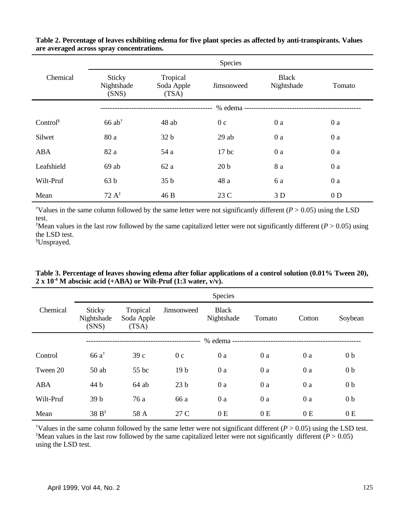|                  | Species                                 |                                 |                          |                            |                |
|------------------|-----------------------------------------|---------------------------------|--------------------------|----------------------------|----------------|
| Chemical         | <b>Sticky</b><br>Nightshade<br>(SNS)    | Tropical<br>Soda Apple<br>(TSA) | Jimsonweed               | <b>Black</b><br>Nightshade | Tomato         |
|                  |                                         |                                 | % edema ---------------- |                            |                |
| Control $\delta$ | $66$ ab <sup><math>\dagger</math></sup> | 48 ab                           | 0 <sub>c</sub>           | 0a                         | 0a             |
| Silwet           | 80 a                                    | 32 <sub>b</sub>                 | 29ab                     | 0a                         | 0a             |
| ABA              | 82 a                                    | 54 a                            | $17$ bc                  | 0a                         | 0a             |
| Leafshield       | $69$ ab                                 | 62a                             | 20 <sub>b</sub>          | 8 a                        | 0a             |
| Wilt-Pruf        | 63 b                                    | 35 b                            | 48 a                     | 6 a                        | 0a             |
| Mean             | $72 \text{ A}^{\ddagger}$               | 46 B                            | 23 C                     | 3 D                        | 0 <sub>D</sub> |

**Table 2. Percentage of leaves exhibiting edema for five plant species as affected by anti-transpirants. Values are averaged across spray concentrations.**

<sup> $\dagger$ </sup>Values in the same column followed by the same letter were not significantly different ( $P > 0.05$ ) using the LSD test.

<sup>‡</sup>Mean values in the last row followed by the same capitalized letter were not significantly different ( $P > 0.05$ ) using the LSD test.

Unsprayed. §

|            | <b>Species</b>                       |                                 |                 |                            |        |        |                |
|------------|--------------------------------------|---------------------------------|-----------------|----------------------------|--------|--------|----------------|
| Chemical   | <b>Sticky</b><br>Nightshade<br>(SNS) | Tropical<br>Soda Apple<br>(TSA) | Jimsonweed      | <b>Black</b><br>Nightshade | Tomato | Cotton | Soybean        |
|            |                                      |                                 |                 | % edema -                  |        |        |                |
| Control    | $66a^{\dagger}$                      | 39c                             | 0 <sub>c</sub>  | 0a                         | 0a     | 0a     | 0 <sub>b</sub> |
| Tween 20   | $50$ ab                              | 55 bc                           | 19 <sub>b</sub> | 0a                         | 0a     | 0a     | 0 <sub>b</sub> |
| <b>ABA</b> | 44 b                                 | $64$ ab                         | 23 <sub>b</sub> | 0a                         | 0a     | 0a     | 0 <sub>b</sub> |
| Wilt-Pruf  | 39 <sub>b</sub>                      | 76 a                            | 66 a            | 0 a                        | 0a     | 0a     | 0 <sub>b</sub> |
| Mean       | $38B^{\ddagger}$                     | 58 A                            | 27 C            | 0E                         | 0E     | 0E     | 0E             |

Table 3. Percentage of leaves showing edema after foliar applications of a control solution (0.01% Tween 20),  $2 \times 10^{-4}$  M abscisic acid (+ABA) or Wilt-Pruf (1:3 water,  $\overline{v/v}$ ).

<sup>†</sup>Values in the same column followed by the same letter were not significant different ( $P > 0.05$ ) using the LSD test. <sup>‡</sup>Mean values in the last row followed by the same capitalized letter were not significantly different ( $P > 0.05$ ) using the LSD test.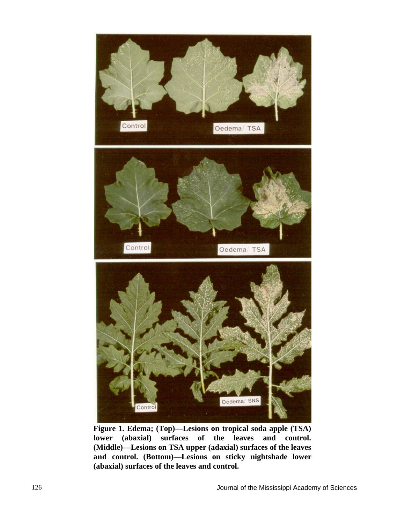

**Figure 1. Edema; (Top)—Lesions on tropical soda apple (TSA) lower (abaxial) surfaces of the leaves and control. (Middle)—Lesions on TSA upper (adaxial) surfaces of the leaves and control. (Bottom)—Lesions on sticky nightshade lower (abaxial) surfaces of the leaves and control.**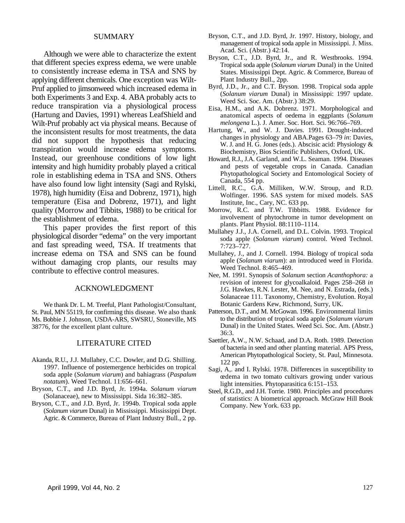#### SUMMARY

Although we were able to characterize the extent that different species express edema, we were unable to consistently increase edema in TSA and SNS by applying different chemicals. One exception was Wilt-Pruf applied to jimsonweed which increased edema in both Experiments 3 and Exp. 4. ABA probably acts to reduce transpiration via a physiological process (Hartung and Davies, 1991) whereas LeafShield and Wilt-Pruf probably act via physical means. Because of the inconsistent results for most treatments, the data did not support the hypothesis that reducing transpiration would increase edema symptoms. Instead, our greenhouse conditions of low light intensity and high humidity probably played a critical role in establishing edema in TSA and SNS. Others have also found low light intensity (Sagi and Rylski, 1978), high humidity (Eisa and Dobrenz, 1971), high temperature (Eisa and Dobrenz, 1971), and light quality (Morrow and Tibbits, 1988) to be critical for the establishment of edema.

This paper provides the first report of this physiological disorder "edema" on the very important and fast spreading weed, TSA. If treatments that increase edema on TSA and SNS can be found without damaging crop plants, our results may contribute to effective control measures.

#### ACKNOWLEDGMENT

We thank Dr. L. M. Treeful, Plant Pathologist/Consultant, St. Paul, MN 55119, for confirming this disease. We also thank Ms. Bobbie J. Johnson, USDA-ARS, SWSRU, Stoneville, MS 38776, for the excellent plant culture.

#### LITERATURE CITED

- Akanda, R.U., J.J. Mullahey, C.C. Dowler, and D.G. Shilling. 1997. Influence of postemergence herbicides on tropical soda apple (*Solanum viarum*) and bahiagrass (*Paspalum notatum*). Weed Technol. 11:656–661.
- Bryson, C.T., and J.D. Byrd, Jr. 1994a. *Solanum viarum* (Solanaceae), new to Mississippi. Sida 16:382–385.
- Bryson, C.T., and J.D. Byrd, Jr. 1994b. Tropical soda apple (*Solanum viarum* Dunal) in Mississippi. Mississippi Dept. Agric. & Commerce, Bureau of Plant Industry Bull., 2 pp.
- Bryson, C.T., and J.D. Byrd, Jr. 1997. History, biology, and management of tropical soda apple in Mississippi. J. Miss. Acad. Sci. (Abstr.) 42:14.
- Bryson, C.T., J.D. Byrd, Jr., and R. Westbrooks. 1994. Tropical soda apple (*Solanum viarum* Dunal) in the United States. Mississippi Dept. Agric. & Commerce, Bureau of Plant Industry Bull., 2pp.
- Byrd, J.D., Jr., and C.T. Bryson. 1998. Tropical soda apple (*Solanum viarum* Dunal) in Mississippi: 1997 update. Weed Sci. Soc. Am. (Abstr.) 38:29.
- Eisa, H.M., and A.K. Dobrenz. 1971. Morphological and anatomical aspects of oedema in eggplants (*Solanum melongena* L.). J. Amer. Soc. Hort. Sci. 96:766–769.
- Hartung, W., and W. J. Davies. 1991. Drought-induced changes in physiology and ABA.Pages 63–79 *in*: Davies, W. J. and H. G. Jones (eds.). Abscisic acid: Physiology & Biochemistry, Bios Scientific Publishers, Oxford, UK.
- Howard, R.J., J.A. Garland, and W.L. Seaman. 1994. Diseases and pests of vegetable crops in Canada. Canadian Phytopathological Society and Entomological Society of Canada, 554 pp.
- Littell, R.C., G.A. Milliken, W.W. Stroup, and R.D. Wolfinger. 1996. SAS system for mixed models. SAS Institute, Inc., Cary, NC. 633 pp.
- Morrow, R.C. and T.W. Tibbitts. 1988. Evidence for involvement of phytochrome in tumor development on plants. Plant Physiol. 88:1110–1114.
- Mullahey J.J., J.A. Cornell, and D.L. Colvin. 1993. Tropical soda apple (*Solanum viarum*) control. Weed Technol. 7:723–727.
- Mullahey, J., and J. Cornell. 1994. Biology of tropical soda apple (*Solanum viarum*): an introduced weed in Florida. Weed Technol. 8:465–469.
- Nee, M. 1991. Synopsis of *Solanum* section *Acanthophora:* a revision of interest for glycoalkaloid. Pages 258–268 *in* J.G. Hawkes, R.N. Lester, M. Nee, and N. Estrada, (eds.) Solanaceae 111. Taxonomy, Chemistry, Evolution. Royal Botanic Gardens Kew, Richmond, Surry, UK.
- Patterson, D.T., and M. McGowan. 1996. Environmental limits to the distribution of tropical soda apple (*Solanum viarum* Dunal) in the United States. Weed Sci. Soc. Am. (Abstr.) 36:3.
- Saettler, A.W., N.W. Schaad, and D.A. Roth. 1989. Detection of bacteria in seed and other planting material. APS Press, American Phytopathological Society, St. Paul, Minnesota. 122 pp.
- Sagi, A,. and I. Rylski. 1978. Differences in susceptibility to œdema in two tomato cultivars growing under various light intensities. Phytoparasitica 6:151–153.
- Steel, R.G.D., and J.H. Torrie. 1980. Principles and procedures of statistics: A biometrical approach. McGraw Hill Book Company. New York. 633 pp.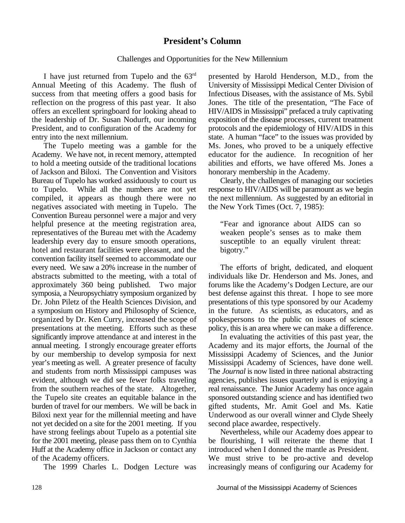# **President's Column**

### Challenges and Opportunities for the New Millennium

I have just returned from Tupelo and the  $63<sup>rd</sup>$ Annual Meeting of this Academy. The flush of University of Mississippi Medical Center Division of success from that meeting offers a good basis for Infectious Diseases, with the assistance of Ms. Sybil reflection on the progress of this past year. It also Jones. The title of the presentation, "The Face of offers an excellent springboard for looking ahead to HIV/AIDS in Mississippi" prefaced a truly captivating the leadership of Dr. Susan Nodurft, our incoming exposition of the disease processes, current treatment<br>President, and to configuration of the Academy for protocols and the epidemiology of HIV/AIDS in this President, and to configuration of the Academy for entry into the next millennium. State. A human "face" to the issues was provided by

Academy. We have not, in recent memory, attempted educator for the audience. In recognition of her to hold a meeting outside of the traditional locations abilities and efforts, we have offered Ms. Jones a of Jackson and Biloxi. The Convention and Visitors honorary membership in the Academy. Bureau of Tupelo has worked assiduously to court us Clearly, the challenges of managing our societies to Tupelo. While all the numbers are not yet response to HIV/AIDS will be paramount as we begin compiled, it appears as though there were no the next millennium. As suggested by an editorial in negatives associated with meeting in Tupelo. The the New York Times (Oct. 7, 1985): Convention Bureau personnel were a major and very helpful presence at the meeting registration area, "Fear and ignorance about AIDS can so representatives of the Bureau met with the Academy weaken people's senses as to make them leadership every day to ensure smooth operations, susceptible to an equally virulent threat: hotel and restaurant facilities were pleasant, and the bigotry." convention facility itself seemed to accommodate our every need. We saw a 20% increase in the number of The efforts of bright, dedicated, and eloquent abstracts submitted to the meeting, with a total of individuals like Dr. Henderson and Ms. Jones, and approximately 360 being published. Two major forums like the Academy's Dodgen Lecture, are our symposia, a Neuropsychiatry symposium organized by best defense against this threat. I hope to see more Dr. John Piletz of the Health Sciences Division, and presentations of this type sponsored by our Academy a symposium on History and Philosophy of Science, in the future. As scientists, as educators, and as organized by Dr. Ken Curry, increased the scope of spokespersons to the public on issues of science presentations at the meeting. Efforts such as these policy, this is an area where we can make a difference. significantly improve attendance at and interest in the In evaluating the activities of this past year, the annual meeting. I strongly encourage greater efforts Academy and its major efforts, the Journal of the by our membership to develop symposia for next Mississippi Academy of Sciences, and the Junior year's meeting as well. A greater presence of faculty Mississippi Academy of Sciences, have done well. and students from north Mississippi campuses was The *Journal* is now listed in three national abstracting evident, although we did see fewer folks traveling agencies, publishes issues quarterly and is enjoying a from the southern reaches of the state. Altogether, real renaissance. The Junior Academy has once again the Tupelo site creates an equitable balance in the sponsored outstanding science and has identified two burden of travel for our members. We will be back in gifted students, Mr. Amit Goel and Ms. Katie Biloxi next vear for the millennial meeting and have Underwood as our overall winner and Clyde Sheely not yet decided on a site for the 2001 meeting. If you second place awardee, respectively.<br>have strong feelings about Tupelo as a potential site Nevertheless, while our Academy does appear to have strong feelings about Tupelo as a potential site Mevertheless, while our Academy does appear to for the 2001 meeting, please pass them on to Cynthia be flourishing. I will reiterate the theme that I for the 2001 meeting, please pass them on to Cynthia Huff at the Academy office in Jackson or contact any introduced when I donned the mantle as President.

presented by Harold Henderson, M.D., from the HIV/AIDS in Mississippi" prefaced a truly captivating exposition of the disease processes, current treatment The Tupelo meeting was a gamble for the Ms. Jones, who proved to be a uniquely effective

of the Academy officers.<br>
The 1999 Charles L. Dodgen Lecture was increasingly means of configuring our Academy for increasingly means of configuring our Academy for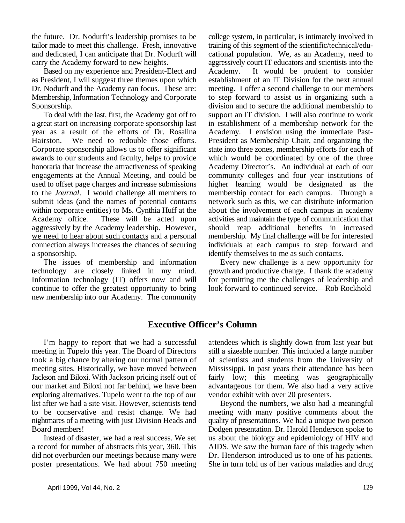the future. Dr. Nodurft's leadership promises to be college system, in particular, is intimately involved in tailor made to meet this challenge. Fresh, innovative training of this segment of the scientific/technical/eduand dedicated, I can anticipate that Dr. Nodurft will cational population. We, as an Academy, need to carry the Academy forward to new heights. aggressively court IT educators and scientists into the

as President, I will suggest three themes upon which establishment of an IT Division for the next annual Dr. Nodurft and the Academy can focus. These are: meeting. I offer a second challenge to our members Membership, Information Technology and Corporate to step forward to assist us in organizing such a Sponsorship. division and to secure the additional membership to

a great start on increasing corporate sponsorship last in establishment of a membership network for the year as a result of the efforts of Dr. Rosalina Academy. I envision using the immediate Past-Hairston. We need to redouble those efforts. President as Membership Chair, and organizing the Corporate sponsorship allows us to offer significant state into three zones, membership efforts for each of awards to our students and faculty, helps to provide which would be coordinated by one of the three honoraria that increase the attractiveness of speaking Academy Director's. An individual at each of our engagements at the Annual Meeting, and could be community colleges and four year institutions of used to offset page charges and increase submissions higher learning would be designated as the to the *Journal*. I would challenge all members to membership contact for each campus. Through a submit ideas (and the names of potential contacts network such as this, we can distribute information within corporate entities) to Ms. Cynthia Huff at the about the involvement of each campus in academy Academy office. These will be acted upon activities and maintain the type of communication that aggressively by the Academy leadership. However, should reap additional benefits in increased we need to hear about such contacts and a personal membership. My final challenge will be for interested connection always increases the chances of securing individuals at each campus to step forward and a sponsorship.  $\blacksquare$  identify themselves to me as such contacts.

technology are closely linked in my mind. growth and productive change. I thank the academy Information technology (IT) offers now and will for permitting me the challenges of leadership and continue to offer the greatest opportunity to bring look forward to continued service.—Rob Rockhold new membership into our Academy. The community

Based on my experience and President-Elect and Academy. It would be prudent to consider To deal with the last, first, the Academy got off to support an IT division. I will also continue to work

The issues of membership and information Every new challenge is a new opportunity for

# **Executive Officer's Column**

meeting in Tupelo this year. The Board of Directors still a sizeable number. This included a large number took a big chance by altering our normal pattern of of scientists and students from the University of meeting sites. Historically, we have moved between Mississippi. In past years their attendance has been Jackson and Biloxi. With Jackson pricing itself out of fairly low; this meeting was geographically our market and Biloxi not far behind, we have been advantageous for them. We also had a very active exploring alternatives. Tupelo went to the top of our vendor exhibit with over 20 presenters. list after we had a site visit. However, scientists tend Beyond the numbers, we also had a meaningful to be conservative and resist change. We had meeting with many positive comments about the nightmares of a meeting with just Division Heads and quality of presentations. We had a unique two person Board members! Dodgen presentation. Dr. Harold Henderson spoke to

a record for number of abstracts this year, 360. This AIDS. We saw the human face of this tragedy when did not overburden our meetings because many were Dr. Henderson introduced us to one of his patients. poster presentations. We had about 750 meeting She in turn told us of her various maladies and drug

I'm happy to report that we had a successful attendees which is slightly down from last year but

Instead of disaster, we had a real success. We set us about the biology and epidemiology of HIV and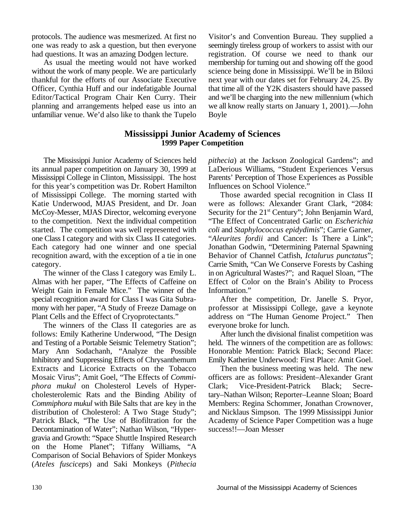unfamiliar venue. We'd also like to thank the Tupelo Boyle

protocols. The audience was mesmerized. At first no Visitor's and Convention Bureau. They supplied a one was ready to ask a question, but then everyone seemingly tireless group of workers to assist with our had questions. It was an amazing Dodgen lecture. registration. Of course we need to thank our As usual the meeting would not have worked membership for turning out and showing off the good without the work of many people. We are particularly science being done in Mississippi. We'll be in Biloxi thankful for the efforts of our Associate Executive next year with our dates set for February 24, 25. By Officer, Cynthia Huff and our indefatigable Journal that time all of the Y2K disasters should have passed Editor/Tactical Program Chair Ken Curry. Their and we'll be charging into the new millennium (which planning and arrangements helped ease us into an we all know really starts on January 1, 2001).—John

## **Mississippi Junior Academy of Sciences 1999 Paper Competition**

its annual paper competition on January 30, 1999 at LaDerious Williams, "Student Experiences Versus Mississippi College in Clinton, Mississippi. The host Parents' Perception of Those Experiences as Possible for this year's competition was Dr. Robert Hamilton Influences on School Violence." of Mississippi College. The morning started with Those awarded special recognition in Class II Katie Underwood, MJAS President, and Dr. Joan were as follows: Alexander Grant Clark, "2084: McCoy-Messer, MJAS Director, welcoming everyone Security for the 21<sup>st</sup> Century"; John Benjamin Ward, to the competition. Next the individual competition "The Effect of Concentrated Garlic on *Escherichia* started. The competition was well represented with *coli* and *Staphylococcus epidydimis*"; Carrie Garner, one Class I category and with six Class II categories. "*Aleurites fordii* and Cancer: Is There a Link"; Each category had one winner and one special Jonathan Godwin, "Determining Paternal Spawning recognition award, with the exception of a tie in one Behavior of Channel Catfish, *Ictalurus punctatus*"; category. Carrie Smith, "Can We Conserve Forests by Cashing

Almas with her paper, "The Effects of Caffeine on Effect of Color on the Brain's Ability to Process Weight Gain in Female Mice." The winner of the Information."<br>special recognition award for Class I was Gita Subra-<br>After the competition, Dr. Janelle S. Pryor, special recognition award for Class I was Gita Subramony with her paper, "A Study of Freeze Damage on professor at Mississippi College, gave a keynote Plant Cells and the Effect of Cryoprotectants." address on "The Human Genome Project." Then

The winners of the Class II categories are as everyone broke for lunch. follows: Emily Katherine Underwood, "The Design After lunch the divisional finalist competition was and Testing of a Portable Seismic Telemetry Station"; held. The winners of the competition are as follows: Mary Ann Sodachanh, "Analyze the Possible Honorable Mention: Patrick Black; Second Place: Inhibitory and Suppressing Effects of Chrysanthemum Emily Katherine Underwood: First Place: Amit Goel. Extracts and Licorice Extracts on the Tobacco Then the business meeting was held. The new Mosaic Virus"; Amit Goel, "The Effects of *Commi-* officers are as follows: President–Alexander Grant *phora mukul* on Cholesterol Levels of Hyper- Clark; Vice-President-Patrick Black; Secrecholesterolemic Rats and the Binding Ability of tary–Nathan Wilson; Reporter–Leanne Sloan; Board *Commiphora mukul* with Bile Salts that are key in the Members: Regina Schommer, Jonathan Crownover, distribution of Cholesterol: A Two Stage Study"; and Nicklaus Simpson. The 1999 Mississippi Junior Patrick Black, "The Use of Biofiltration for the Academy of Science Paper Competition was a huge Decontamination of Water"; Nathan Wilson, "Hyper- success!!—Joan Messer gravia and Growth: "Space Shuttle Inspired Research on the Home Planet"; Tiffany Williams, "A Comparison of Social Behaviors of Spider Monkeys (*Ateles fusciceps*) and Saki Monkeys (*Pithecia*

The Mississippi Junior Academy of Sciences held *pithecia*) at the Jackson Zoological Gardens"; and

The winner of the Class I category was Emily L. in on Agricultural Wastes?"; and Raquel Sloan, "The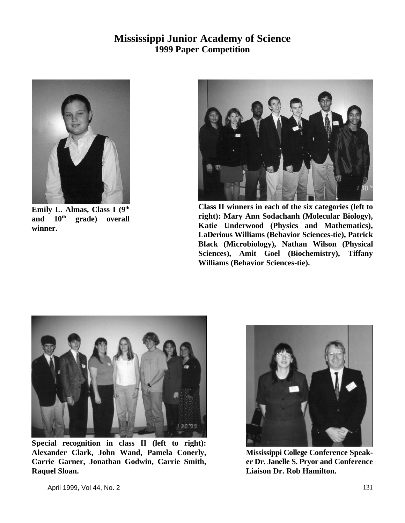# **Mississippi Junior Academy of Science 1999 Paper Competition**



**Emily L. Almas, Class I (9th** and  $10^{\text{th}}$  grade) overall **winner.**



**Class II winners in each of the six categories (left to right): Mary Ann Sodachanh (Molecular Biology), Katie Underwood (Physics and Mathematics), LaDerious Williams (Behavior Sciences-tie), Patrick Black (Microbiology), Nathan Wilson (Physical Sciences), Amit Goel (Biochemistry), Tiffany Williams (Behavior Sciences-tie).**



**Special recognition in class II (left to right): Alexander Clark, John Wand, Pamela Conerly, Carrie Garner, Jonathan Godwin, Carrie Smith, Raquel Sloan.**



**Mississippi College Conference Speaker Dr. Janelle S. Pryor and Conference Liaison Dr. Rob Hamilton.**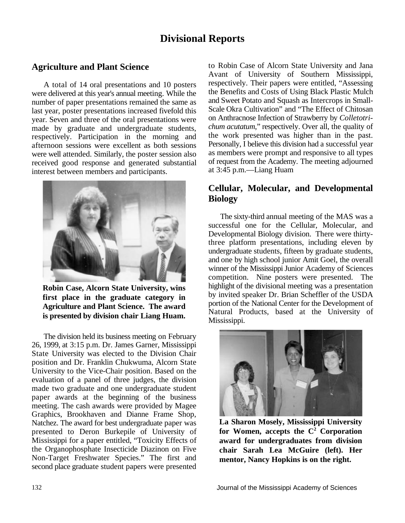# **Divisional Reports**

# **Agriculture and Plant Science**

A total of 14 oral presentations and 10 posters were delivered at this year's annual meeting. While the number of paper presentations remained the same as last year, poster presentations increased fivefold this year. Seven and three of the oral presentations were made by graduate and undergraduate students, respectively. Participation in the morning and afternoon sessions were excellent as both sessions were well attended. Similarly, the poster session also received good response and generated substantial interest between members and participants.



**Robin Case, Alcorn State University, wins first place in the graduate category in Agriculture and Plant Science. The award is presented by division chair Liang Huam.**

The division held its business meeting on February 26, 1999, at 3:15 p.m. Dr. James Garner, Mississippi State University was elected to the Division Chair position and Dr. Franklin Chukwuma, Alcorn State University to the Vice-Chair position. Based on the evaluation of a panel of three judges, the division made two graduate and one undergraduate student paper awards at the beginning of the business meeting. The cash awards were provided by Magee Graphics, Brookhaven and Dianne Frame Shop, Natchez. The award for best undergraduate paper was presented to Deron Burkepile of University of Mississippi for a paper entitled, "Toxicity Effects of the Organophosphate Insecticide Diazinon on Five Non-Target Freshwater Species." The first and second place graduate student papers were presented

to Robin Case of Alcorn State University and Jana Avant of University of Southern Mississippi, respectively. Their papers were entitled, "Assessing the Benefits and Costs of Using Black Plastic Mulch and Sweet Potato and Squash as Intercrops in Small-Scale Okra Cultivation" and "The Effect of Chitosan on Anthracnose Infection of Strawberry by *Colletotrichum acutatum*," respectively. Over all, the quality of the work presented was higher than in the past. Personally, I believe this division had a successful year as members were prompt and responsive to all types of request from the Academy. The meeting adjourned at 3:45 p.m.—Liang Huam

# **Cellular, Molecular, and Developmental Biology**

The sixty-third annual meeting of the MAS was a successful one for the Cellular, Molecular, and Developmental Biology division. There were thirtythree platform presentations, including eleven by undergraduate students, fifteen by graduate students, and one by high school junior Amit Goel, the overall winner of the Mississippi Junior Academy of Sciences competition. Nine posters were presented. The highlight of the divisional meeting was a presentation by invited speaker Dr. Brian Scheffler of the USDA portion of the National Center for the Development of Natural Products, based at the University of Mississippi.



**La Sharon Mosely, Mississippi University** for Women, accepts the C<sup>2</sup> Corporation **award for undergraduates from division chair Sarah Lea McGuire (left). Her mentor, Nancy Hopkins is on the right.**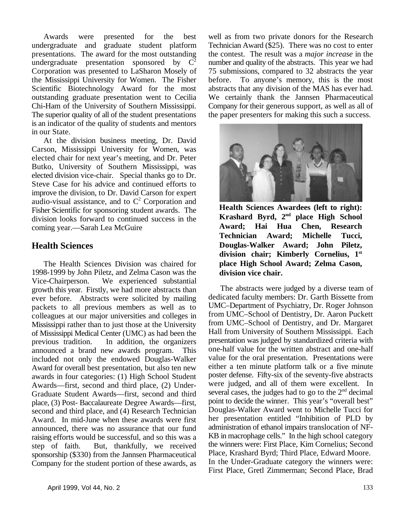undergraduate and graduate student platform Technician Award (\$25). There was no cost to enter presentations. The award for the most outstanding the contest. The result was a *major increase* in the undergraduate presentation sponsored by  $C^2$  number and quality of the abstracts. This year we had undergraduate presentation sponsored by  $C^2$  number and quality of the abstracts. This year we had Corporation was presented to LaSharon Mosely of 75 submissions, compared to 32 abstracts the year the Mississippi University for Women. The Fisher before. To anyone's memory, this is the most Scientific Biotechnology Award for the most abstracts that any division of the MAS has ever had. outstanding graduate presentation went to Cecilia We certainly thank the Jannsen Pharmaceutical Chi-Ham of the University of Southern Mississippi. Company for their generous support, as well as all of The superior quality of all of the student presentations the paper presenters for making this such a success. is an indicator of the quality of students and mentors in our State.

At the division business meeting, Dr. David Carson, Mississippi University for Women, was elected chair for next year's meeting, and Dr. Peter Butko, University of Southern Mississippi, was elected division vice-chair. Special thanks go to Dr. Steve Case for his advice and continued efforts to improve the division, to Dr. David Carson for expert audio-visual assistance, and to  $C^2$  Corporation and Fisher Scientific for sponsoring student awards. The division looks forward to continued success in the coming year.—Sarah Lea McGuire

# **Health Sciences**

The Health Sciences Division was chaired for 1998-1999 by John Piletz, and Zelma Cason was the Vice-Chairperson. We experienced substantial growth this year. Firstly, we had more abstracts than ever before. Abstracts were solicited by mailing packets to all previous members as well as to colleagues at our major universities and colleges in Mississippi rather than to just those at the University of Mississippi Medical Center (UMC) as had been the previous tradition. In addition, the organizers announced a brand new awards program. This included not only the endowed Douglas-Walker Award for overall best presentation, but also ten new awards in four categories: (1) High School Student Awards—first, second and third place, (2) Under-Graduate Student Awards—first, second and third place, (3) Post- Baccalaureate Degree Awards—first, second and third place, and (4) Research Technician Award. In mid-June when these awards were first announced, there was no assurance that our fund raising efforts would be successful, and so this was a step of faith. But, thankfully, we received sponsorship (\$330) from the Jannsen Pharmaceutical Company for the student portion of these awards, as

Awards were presented for the best well as from two private donors for the Research



**Health Sciences Awardees (left to right):** Krashard Byrd, 2<sup>nd</sup> place High School **Award; Hai Hua Chen, Research Technician Award; Michelle Tucci, Douglas-Walker Award; John Piletz, division chair; Kimberly Cornelius, 1st place High School Award; Zelma Cason, division vice chair.**

The abstracts were judged by a diverse team of dedicated faculty members: Dr. Garth Bissette from UMC–Department of Psychiatry, Dr. Roger Johnson from UMC–School of Dentistry, Dr. Aaron Puckett from UMC–School of Dentistry, and Dr. Margaret Hall from University of Southern Mississippi. Each presentation was judged by standardized criteria with one-half value for the written abstract and one-half value for the oral presentation. Presentations were either a ten minute platform talk or a five minute poster defense. Fifty-six of the seventy-five abstracts were judged, and all of them were excellent. In several cases, the judges had to go to the  $2<sup>nd</sup>$  decimal point to decide the winner. This year's "overall best" Douglas-Walker Award went to Michelle Tucci for her presentation entitled "Inhibition of PLD by administration of ethanol impairs translocation of NF-KB in macrophage cells." In the high school category the winners were: First Place, Kim Cornelius; Second Place, Krashard Byrd; Third Place, Edward Moore. In the Under-Graduate category the winners were: First Place, Gretl Zimmerman; Second Place, Brad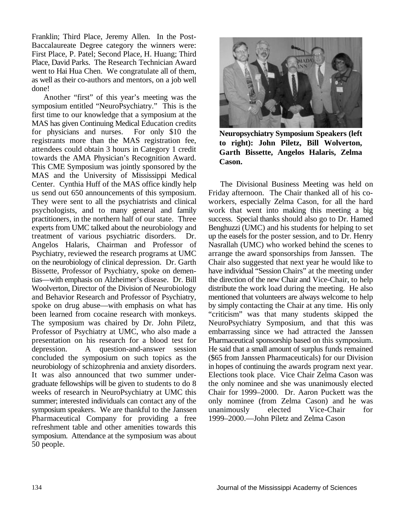Franklin; Third Place, Jeremy Allen. In the Post-Baccalaureate Degree category the winners were: First Place, P. Patel; Second Place, H. Huang; Third Place, David Parks. The Research Technician Award went to Hai Hua Chen. We congratulate all of them, as well as their co-authors and mentors, on a job well done!

Another "first" of this year's meeting was the symposium entitled "NeuroPsychiatry." This is the first time to our knowledge that a symposium at the MAS has given Continuing Medical Education credits for physicians and nurses. For only \$10 the registrants more than the MAS registration fee, attendees could obtain 3 hours in Category 1 credit towards the AMA Physician's Recognition Award. This CME Symposium was jointly sponsored by the MAS and the University of Mississippi Medical Center. Cynthia Huff of the MAS office kindly help The Divisional Business Meeting was held on us send out 650 announcements of this symposium. Friday afternoon. The Chair thanked all of his co-They were sent to all the psychiatrists and clinical workers, especially Zelma Cason, for all the hard psychologists, and to many general and family work that went into making this meeting a big practitioners, in the northern half of our state. Three success. Special thanks should also go to Dr. Hamed experts from UMC talked about the neurobiology and Benghuzzi (UMC) and his students for helping to set treatment of various psychiatric disorders. Dr. up the easels for the poster session, and to Dr. Henry Angelos Halaris, Chairman and Professor of Nasrallah (UMC) who worked behind the scenes to Psychiatry, reviewed the research programs at UMC arrange the award sponsorships from Janssen. The on the neurobiology of clinical depression. Dr. Garth Chair also suggested that next year he would like to Bissette, Professor of Psychiatry, spoke on demen- have individual "Session Chairs" at the meeting under tias—with emphasis on Alzheimer's disease. Dr. Bill the direction of the new Chair and Vice-Chair, to help Woolverton, Director of the Division of Neurobiology distribute the work load during the meeting. He also and Behavior Research and Professor of Psychiatry, mentioned that volunteers are always welcome to help spoke on drug abuse—with emphasis on what has by simply contacting the Chair at any time. His only been learned from cocaine research with monkeys. "criticism" was that many students skipped the The symposium was chaired by Dr. John Piletz, NeuroPsychiatry Symposium, and that this was Professor of Psychiatry at UMC, who also made a embarrassing since we had attracted the Janssen presentation on his research for a blood test for Pharmaceutical sponsorship based on this symposium. depression. A question-and-answer session He said that a small amount of surplus funds remained concluded the symposium on such topics as the (\$65 from Janssen Pharmaceuticals) for our Division neurobiology of schizophrenia and anxiety disorders. in hopes of continuing the awards program next year. It was also announced that two summer under- Elections took place. Vice Chair Zelma Cason was graduate fellowships will be given to students to do 8 the only nominee and she was unanimously elected weeks of research in NeuroPsychiatry at UMC this Chair for 1999–2000. Dr. Aaron Puckett was the weeks of research in NeuroPsychiatry at UMC this summer; interested individuals can contact any of the only nominee (from Zelma Cason) and he was symposium speakers. We are thankful to the Janssen unanimously elected Vice-Chair for Pharmaceutical Company for providing a free 1999–2000.—John Piletz and Zelma Cason refreshment table and other amenities towards this symposium. Attendance at the symposium was about 50 people.



**Neuropsychiatry Symposium Speakers (left to right): John Piletz, Bill Wolverton, Garth Bissette, Angelos Halaris, Zelma Cason.**

Dr. up the easels for the poster session, and to Dr. Henry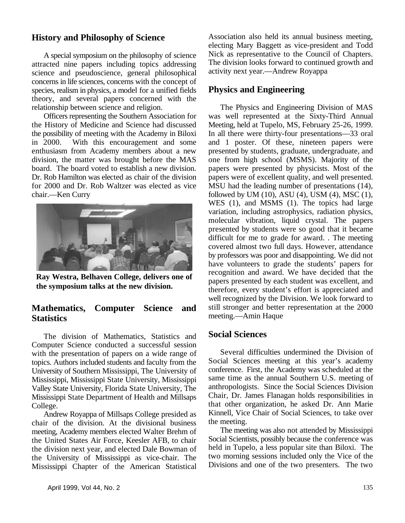# **History and Philosophy of Science**

A special symposium on the philosophy of science attracted nine papers including topics addressing science and pseudoscience, general philosophical concerns in life sciences, concerns with the concept of species, realism in physics, a model for a unified fields theory, and several papers concerned with the relationship between science and religion. The Physics and Engineering Division of MAS

the History of Medicine and Science had discussed Meeting, held at Tupelo, MS, February 25-26, 1999. the possibility of meeting with the Academy in Biloxi In all there were thirty-four presentations—33 oral in 2000. With this encouragement and some and 1 poster. Of these, nineteen papers were enthusiasm from Academy members about a new presented by students, graduate, undergraduate, and division, the matter was brought before the MAS one from high school (MSMS). Majority of the board. The board voted to establish a new division. papers were presented by physicists. Most of the Dr. Rob Hamilton was elected as chair of the division papers were of excellent quality, and well presented.<br>
for 2000 and Dr. Rob Waltzer was elected as vice MSU had the leading number of presentations (14), for 2000 and Dr. Rob Waltzer was elected as vice



**Ray Westra, Belhaven College, delivers one of the symposium talks at the new division.**

# **Mathematics, Computer Science and Statistics**

The division of Mathematics, Statistics and Computer Science conducted a successful session with the presentation of papers on a wide range of topics. Authors included students and faculty from the University of Southern Mississippi, The University of Mississippi, Mississippi State University, Mississippi Valley State University, Florida State University, The Mississippi State Department of Health and Millsaps College.

Andrew Royappa of Millsaps College presided as chair of the division. At the divisional business meeting, Academy members elected Walter Brehm of the United States Air Force, Keesler AFB, to chair the division next year, and elected Dale Bowman of the University of Mississippi as vice-chair. The Mississippi Chapter of the American Statistical

## **Physics and Engineering**

Officers representing the Southern Association for was well represented at the Sixty-Third Annual papers were presented by physicists. Most of the chair.—Ken Curry followed by UM (10), ASU (4), USM (4), MSC (1), WES (1), and MSMS (1). The topics had large variation, including astrophysics, radiation physics, molecular vibration, liquid crystal. The papers presented by students were so good that it became difficult for me to grade for award. . The meeting covered almost two full days. However, attendance by professors was poor and disappointing. We did not have volunteers to grade the students' papers for recognition and award. We have decided that the papers presented by each student was excellent, and therefore, every student's effort is appreciated and well recognized by the Division. We look forward to still stronger and better representation at the 2000 meeting.—Amin Haque

## **Social Sciences**

Several difficulties undermined the Division of Social Sciences meeting at this year's academy conference. First, the Academy was scheduled at the same time as the annual Southern U.S. meeting of anthropologists. Since the Social Sciences Division Chair, Dr. James Flanagan holds responsibilities in that other organization, he asked Dr. Ann Marie Kinnell, Vice Chair of Social Sciences, to take over the meeting.

The meeting was also not attended by Mississippi Social Scientists, possibly because the conference was held in Tupelo, a less popular site than Biloxi. The two morning sessions included only the Vice of the Divisions and one of the two presenters. The two